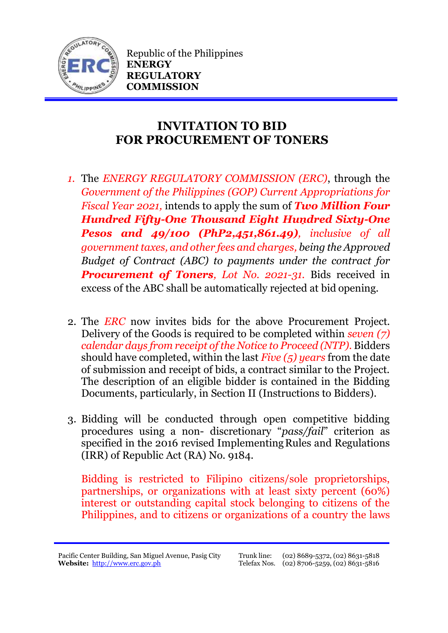

Republic of the Philippines **ENERGY REGULATORY COMMISSION**

## **INVITATION TO BID FOR PROCUREMENT OF TONERS**

- *1.* The *ENERGY REGULATORY COMMISSION (ERC)*, through the *Government of the Philippines (GOP) Current Appropriations for Fiscal Year 2021,* intends to apply the sum of *Two Million Four Hundred Fifty-One Thousand Eight Hundred Sixty-One Pesos and 49/100 (PhP2,451,861.49), inclusive of all government taxes, and other fees and charges, being the Approved Budget of Contract (ABC) to payments under the contract for Procurement of Toners, Lot No. 2021-31.* Bids received in excess of the ABC shall be automatically rejected at bid opening.
- 2. The *ERC* now invites bids for the above Procurement Project. Delivery of the Goods is required to be completed within *seven (7) calendar days from receipt of the Notice to Proceed (NTP).* Bidders should have completed, within the last *Five (5) years* from the date of submission and receipt of bids, a contract similar to the Project. The description of an eligible bidder is contained in the Bidding Documents, particularly, in Section II (Instructions to Bidders).
- 3. Bidding will be conducted through open competitive bidding procedures using a non- discretionary "*pass/fail*" criterion as specified in the 2016 revised Implementing Rules and Regulations (IRR) of Republic Act (RA) No. 9184.

Bidding is restricted to Filipino citizens/sole proprietorships, partnerships, or organizations with at least sixty percent (60%) interest or outstanding capital stock belonging to citizens of the Philippines, and to citizens or organizations of a country the laws

Pacific Center Building, San Miguel Avenue, Pasig City **Website:** [http://www.erc.gov.ph](http://www.erc.gov.ph/)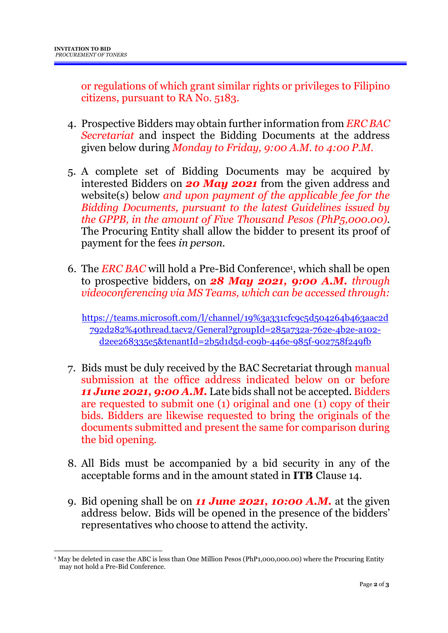or regulations of which grant similar rights or privileges to Filipino citizens, pursuant to RA No. 5183.

- 4. Prospective Bidders may obtain further information from *ERC BAC Secretariat* and inspect the Bidding Documents at the address given below during *Monday to Friday, 9:00 A.M. to 4:00 P.M*.
- 5. A complete set of Bidding Documents may be acquired by interested Bidders on *20 May 2021* from the given address and website(s) below *and upon payment of the applicable fee for the Bidding Documents, pursuant to the latest Guidelines issued by the GPPB, in the amount of Five Thousand Pesos (PhP5,000.00)*. The Procuring Entity shall allow the bidder to present its proof of payment for the fees *in person.*
- 6. The *ERC BAC* will hold a Pre-Bid Conference<sup>1</sup> , which shall be open to prospective bidders, on *28 May 2021, 9:00 A.M. through videoconferencing via MS Teams, which can be accessed through:*

[https://teams.microsoft.com/l/channel/19%3a331cfc9c5d504264b463aac2d](https://teams.microsoft.com/l/channel/19%3a331cfc9c5d504264b463aac2d792d282%40thread.tacv2/General?groupId=285a732a-762e-4b2e-a102-d2ee268335e5&tenantId=2b5d1d5d-c09b-446e-985f-902758f249fb) [792d282%40thread.tacv2/General?groupId=285a732a-762e-4b2e-a102](https://teams.microsoft.com/l/channel/19%3a331cfc9c5d504264b463aac2d792d282%40thread.tacv2/General?groupId=285a732a-762e-4b2e-a102-d2ee268335e5&tenantId=2b5d1d5d-c09b-446e-985f-902758f249fb) [d2ee268335e5&tenantId=2b5d1d5d-c09b-446e-985f-902758f249fb](https://teams.microsoft.com/l/channel/19%3a331cfc9c5d504264b463aac2d792d282%40thread.tacv2/General?groupId=285a732a-762e-4b2e-a102-d2ee268335e5&tenantId=2b5d1d5d-c09b-446e-985f-902758f249fb)

- 7. Bids must be duly received by the BAC Secretariat through manual submission at the office address indicated below on or before *11 June 2021, 9:00 A.M.* Late bids shall not be accepted. Bidders are requested to submit one (1) original and one (1) copy of their bids. Bidders are likewise requested to bring the originals of the documents submitted and present the same for comparison during the bid opening.
- 8. All Bids must be accompanied by a bid security in any of the acceptable forms and in the amount stated in **ITB** Clause 14.
- 9. Bid opening shall be on *11 June 2021, 10:00 A.M.* at the given address below. Bids will be opened in the presence of the bidders' representatives who choose to attend the activity.

<sup>1</sup> <sup>1</sup> May be deleted in case the ABC is less than One Million Pesos (PhP1,000,000.00) where the Procuring Entity may not hold a Pre-Bid Conference.